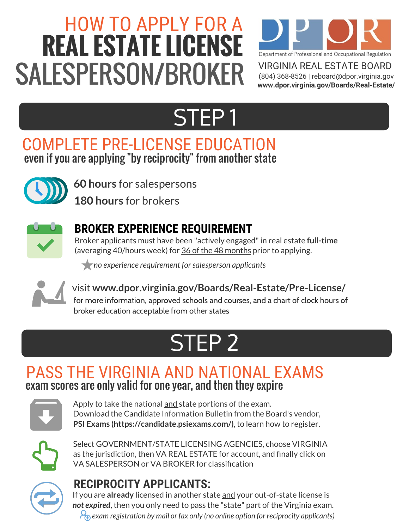# HOW TO APPLY FOR A **REAL ESTATE LICENSE** SALESPERSON/BROKER



VIRGINIA REAL ESTATE BOARD (804) 368-8526 | reboard@dpor.virginia.gov **www.dpor.virginia.gov/Boards/Real-Estate/**

### STEP 1

### COMPLETE PRE-LICENSE EDUCATION even if you are applying "by reciprocity " from another state



**60 hours** for salespersons

**180 hours** for brokers



### **BROKER EXPERIENCE REQUIREMENT**

Broker applicants must have been "actively engaged"in real estate **full-time** (averaging 40/hours week) for 36 of the 48 months prior to applying.

*no experience requirement for salesperson applicants*



visit **www.dpor.virginia.gov/Boards/Real-Estate/Pre-License/** for more information, approved schools and courses, and a chart of clock hours of broker education acceptable from other states

### STEP 2

### PASS THE VIRGINIA AND NATIONAL EXAMS exam scores are only valid for one year, and then they expire



Apply to take the national and state portions of the exam. Download the Candidate Information Bulletin from the Board's vendor, **PSI Exams (https://candidate.psiexams.com/)**, to learn how to register.



Select GOVERNMENT/STATE LICENSING AGENCIES, choose VIRGINIA as the jurisdiction, then VA REAL ESTATE for account, and finally click on VA SALESPERSON or VA BROKER for classification

### **RECIPROCITY APPLICANTS:**

If you are **already** licensed in another state and your out-of-state license is *not expired*, then you only need to pass the "state" part of the Virginia exam. *exam registration by mail or fax only (no online option for reciprocity applicants)*